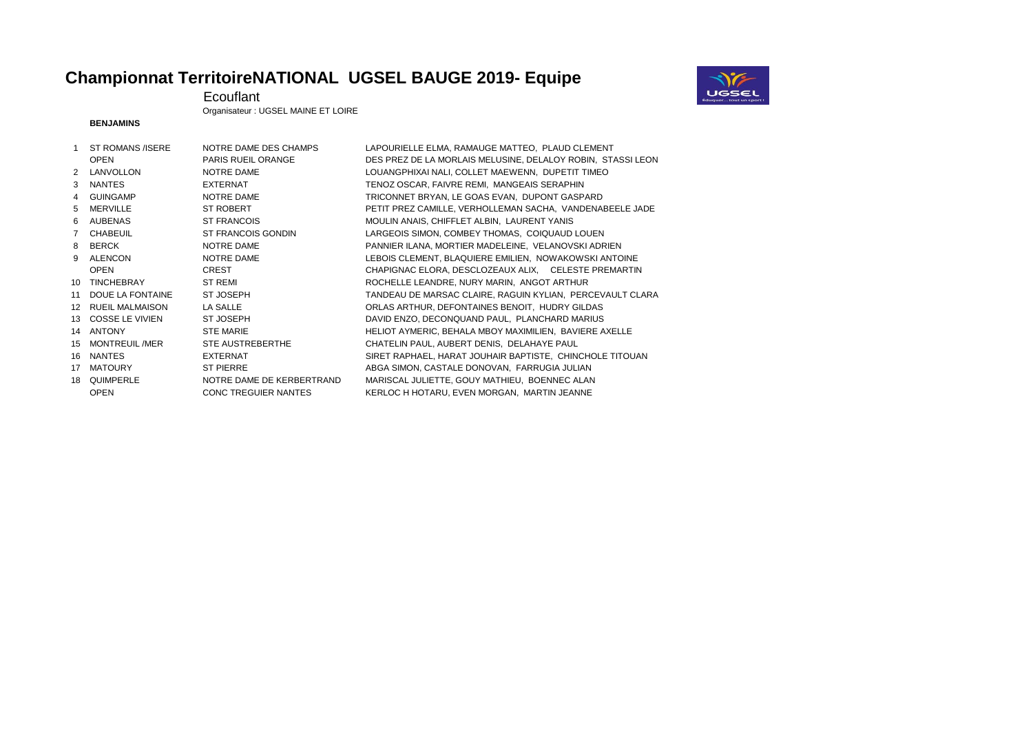## **Championnat TerritoireNATIONAL UGSEL BAUGE 2019- Equipe**



Ecouflant

Organisateur : UGSEL MAINE ET LOIRE

## **BENJAMINS**

|                 | ST ROMANS / ISERE      | NOTRE DAME DES CHAMPS       | LAPOURIELLE ELMA, RAMAUGE MATTEO, PLAUD CLEMENT             |
|-----------------|------------------------|-----------------------------|-------------------------------------------------------------|
|                 | <b>OPEN</b>            | PARIS RUEIL ORANGE          | DES PREZ DE LA MORLAIS MELUSINE, DELALOY ROBIN, STASSI LEON |
| $\mathcal{P}$   | LANVOLLON              | NOTRE DAME                  | LOUANGPHIXAI NALI, COLLET MAEWENN, DUPETIT TIMEO            |
| 3               | <b>NANTES</b>          | <b>EXTERNAT</b>             | TENOZ OSCAR, FAIVRE REMI, MANGEAIS SERAPHIN                 |
| $\overline{4}$  | <b>GUINGAMP</b>        | NOTRE DAME                  | TRICONNET BRYAN, LE GOAS EVAN, DUPONT GASPARD               |
| 5               | <b>MERVILLE</b>        | <b>ST ROBERT</b>            | PETIT PREZ CAMILLE, VERHOLLEMAN SACHA, VANDENABEELE JADE    |
| 6               | <b>AUBENAS</b>         | <b>ST FRANCOIS</b>          | MOULIN ANAIS, CHIFFLET ALBIN, LAURENT YANIS                 |
| $7^{\circ}$     | <b>CHABEUIL</b>        | <b>ST FRANCOIS GONDIN</b>   | LARGEOIS SIMON, COMBEY THOMAS, COIQUAUD LOUEN               |
| 8               | <b>BERCK</b>           | NOTRE DAME                  | PANNIER ILANA, MORTIER MADELEINE, VELANOVSKI ADRIEN         |
| 9               | ALENCON                | NOTRE DAME                  | LEBOIS CLEMENT, BLAQUIERE EMILIEN, NOWAKOWSKI ANTOINE       |
|                 | <b>OPEN</b>            | <b>CREST</b>                | CHAPIGNAC ELORA, DESCLOZEAUX ALIX, CELESTE PREMARTIN        |
| 10              | <b>TINCHEBRAY</b>      | <b>ST REMI</b>              | ROCHELLE LEANDRE, NURY MARIN, ANGOT ARTHUR                  |
| 11              | DOUE LA FONTAINE       | ST JOSEPH                   | TANDEAU DE MARSAC CLAIRE, RAGUIN KYLIAN, PERCEVAULT CLARA   |
| 12 <sup>2</sup> | <b>RUEIL MALMAISON</b> | LA SALLE                    | ORLAS ARTHUR, DEFONTAINES BENOIT, HUDRY GILDAS              |
| 13 <sup>7</sup> | <b>COSSE LE VIVIEN</b> | <b>ST JOSEPH</b>            | DAVID ENZO, DECONQUAND PAUL, PLANCHARD MARIUS               |
| 14              | <b>ANTONY</b>          | <b>STE MARIE</b>            | HELIOT AYMERIC, BEHALA MBOY MAXIMILIEN, BAVIERE AXELLE      |
| 15              | <b>MONTREUIL/MER</b>   | STE AUSTREBERTHE            | CHATELIN PAUL, AUBERT DENIS, DELAHAYE PAUL                  |
| 16              | <b>NANTES</b>          | <b>EXTERNAT</b>             | SIRET RAPHAEL, HARAT JOUHAIR BAPTISTE, CHINCHOLE TITOUAN    |
| 17              | <b>MATOURY</b>         | <b>ST PIERRE</b>            | ABGA SIMON, CASTALE DONOVAN, FARRUGIA JULIAN                |
| 18              | QUIMPERLE              | NOTRE DAME DE KERBERTRAND   | MARISCAL JULIETTE, GOUY MATHIEU, BOENNEC ALAN               |
|                 | <b>OPEN</b>            | <b>CONC TREGUIER NANTES</b> | KERLOC H HOTARU, EVEN MORGAN, MARTIN JEANNE                 |